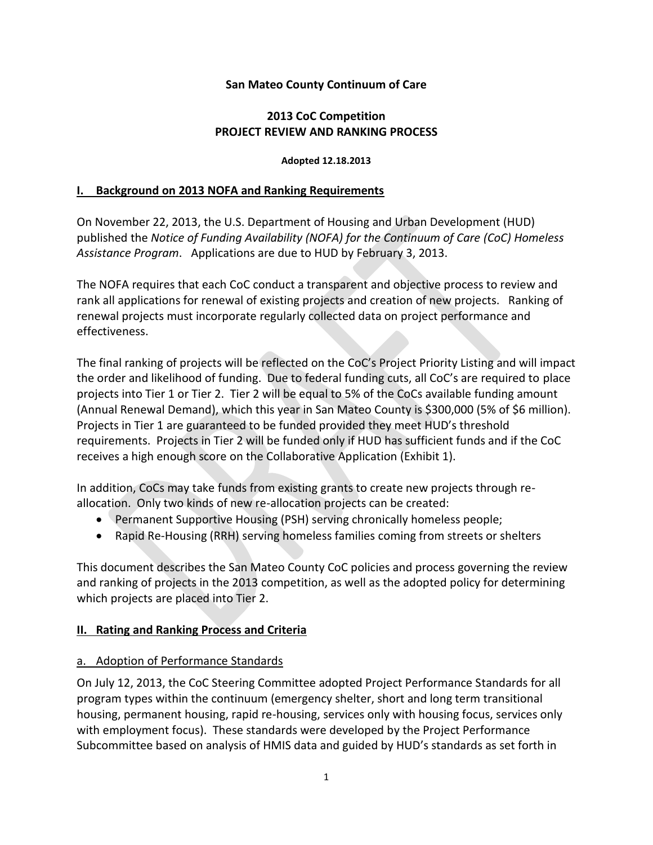#### **San Mateo County Continuum of Care**

## **2013 CoC Competition PROJECT REVIEW AND RANKING PROCESS**

#### **Adopted 12.18.2013**

#### **I. Background on 2013 NOFA and Ranking Requirements**

On November 22, 2013, the U.S. Department of Housing and Urban Development (HUD) published the *Notice of Funding Availability (NOFA) for the Continuum of Care (CoC) Homeless Assistance Program*. Applications are due to HUD by February 3, 2013.

The NOFA requires that each CoC conduct a transparent and objective process to review and rank all applications for renewal of existing projects and creation of new projects. Ranking of renewal projects must incorporate regularly collected data on project performance and effectiveness.

The final ranking of projects will be reflected on the CoC's Project Priority Listing and will impact the order and likelihood of funding. Due to federal funding cuts, all CoC's are required to place projects into Tier 1 or Tier 2. Tier 2 will be equal to 5% of the CoCs available funding amount (Annual Renewal Demand), which this year in San Mateo County is \$300,000 (5% of \$6 million). Projects in Tier 1 are guaranteed to be funded provided they meet HUD's threshold requirements. Projects in Tier 2 will be funded only if HUD has sufficient funds and if the CoC receives a high enough score on the Collaborative Application (Exhibit 1).

In addition, CoCs may take funds from existing grants to create new projects through reallocation. Only two kinds of new re-allocation projects can be created:

- Permanent Supportive Housing (PSH) serving chronically homeless people;
- Rapid Re-Housing (RRH) serving homeless families coming from streets or shelters

This document describes the San Mateo County CoC policies and process governing the review and ranking of projects in the 2013 competition, as well as the adopted policy for determining which projects are placed into Tier 2.

## **II. Rating and Ranking Process and Criteria**

#### a. Adoption of Performance Standards

On July 12, 2013, the CoC Steering Committee adopted Project Performance Standards for all program types within the continuum (emergency shelter, short and long term transitional housing, permanent housing, rapid re-housing, services only with housing focus, services only with employment focus). These standards were developed by the Project Performance Subcommittee based on analysis of HMIS data and guided by HUD's standards as set forth in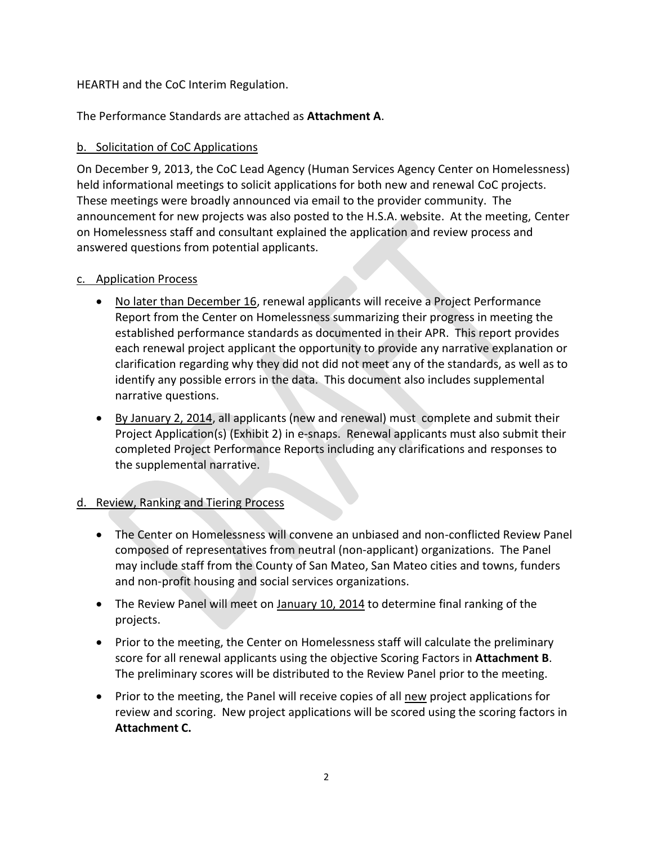## HEARTH and the CoC Interim Regulation.

The Performance Standards are attached as **Attachment A**.

# b. Solicitation of CoC Applications

On December 9, 2013, the CoC Lead Agency (Human Services Agency Center on Homelessness) held informational meetings to solicit applications for both new and renewal CoC projects. These meetings were broadly announced via email to the provider community. The announcement for new projects was also posted to the H.S.A. website. At the meeting, Center on Homelessness staff and consultant explained the application and review process and answered questions from potential applicants.

## c. Application Process

- No later than December 16, renewal applicants will receive a Project Performance Report from the Center on Homelessness summarizing their progress in meeting the established performance standards as documented in their APR. This report provides each renewal project applicant the opportunity to provide any narrative explanation or clarification regarding why they did not did not meet any of the standards, as well as to identify any possible errors in the data. This document also includes supplemental narrative questions.
- By January 2, 2014, all applicants (new and renewal) must complete and submit their Project Application(s) (Exhibit 2) in e-snaps. Renewal applicants must also submit their completed Project Performance Reports including any clarifications and responses to the supplemental narrative.

# d. Review, Ranking and Tiering Process

- The Center on Homelessness will convene an unbiased and non-conflicted Review Panel composed of representatives from neutral (non-applicant) organizations. The Panel may include staff from the County of San Mateo, San Mateo cities and towns, funders and non-profit housing and social services organizations.
- The Review Panel will meet on January 10, 2014 to determine final ranking of the projects.
- Prior to the meeting, the Center on Homelessness staff will calculate the preliminary score for all renewal applicants using the objective Scoring Factors in **Attachment B**. The preliminary scores will be distributed to the Review Panel prior to the meeting.
- Prior to the meeting, the Panel will receive copies of all new project applications for review and scoring. New project applications will be scored using the scoring factors in **Attachment C.**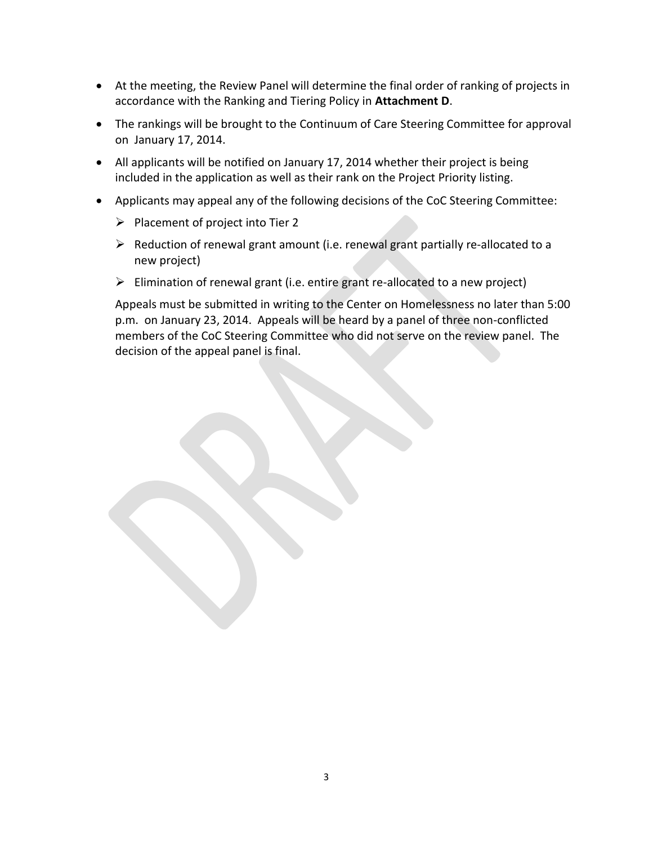- At the meeting, the Review Panel will determine the final order of ranking of projects in accordance with the Ranking and Tiering Policy in **Attachment D**.
- The rankings will be brought to the Continuum of Care Steering Committee for approval on January 17, 2014.
- All applicants will be notified on January 17, 2014 whether their project is being included in the application as well as their rank on the Project Priority listing.
- Applicants may appeal any of the following decisions of the CoC Steering Committee:
	- $\triangleright$  Placement of project into Tier 2
	- $\triangleright$  Reduction of renewal grant amount (i.e. renewal grant partially re-allocated to a new project)
	- $\triangleright$  Elimination of renewal grant (i.e. entire grant re-allocated to a new project)

Appeals must be submitted in writing to the Center on Homelessness no later than 5:00 p.m. on January 23, 2014. Appeals will be heard by a panel of three non-conflicted members of the CoC Steering Committee who did not serve on the review panel. The decision of the appeal panel is final.

3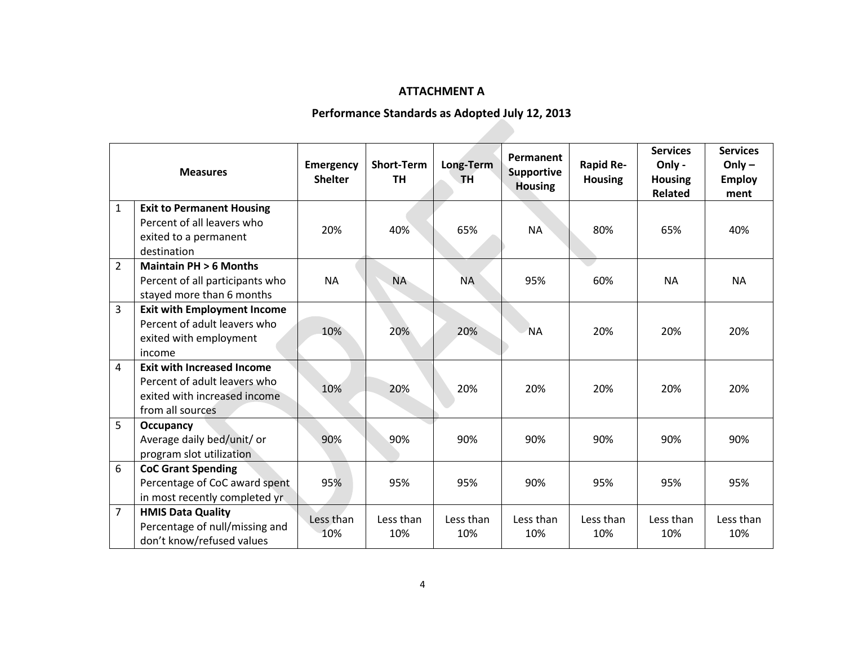# **ATTACHMENT A**

# **Performance Standards as Adopted July 12, 2013**

| <b>Measures</b> |                                                                                                                       | <b>Emergency</b><br><b>Shelter</b> | <b>Short-Term</b><br><b>TH</b> | Long-Term<br>TH. | Permanent<br>Supportive<br><b>Housing</b> | <b>Rapid Re-</b><br><b>Housing</b> | <b>Services</b><br>Only -<br><b>Housing</b><br><b>Related</b> | <b>Services</b><br>Only $-$<br><b>Employ</b><br>ment |
|-----------------|-----------------------------------------------------------------------------------------------------------------------|------------------------------------|--------------------------------|------------------|-------------------------------------------|------------------------------------|---------------------------------------------------------------|------------------------------------------------------|
| $\mathbf{1}$    | <b>Exit to Permanent Housing</b><br>Percent of all leavers who<br>exited to a permanent<br>destination                | 20%                                | 40%                            | 65%              | <b>NA</b>                                 | 80%                                | 65%                                                           | 40%                                                  |
| $\overline{2}$  | <b>Maintain PH &gt; 6 Months</b><br>Percent of all participants who<br>stayed more than 6 months                      | <b>NA</b>                          | <b>NA</b>                      | <b>NA</b>        | 95%                                       | 60%                                | <b>NA</b>                                                     | <b>NA</b>                                            |
| 3               | <b>Exit with Employment Income</b><br>Percent of adult leavers who<br>exited with employment<br>income                | 10%                                | 20%                            | 20%              | <b>NA</b>                                 | 20%                                | 20%                                                           | 20%                                                  |
| 4               | <b>Exit with Increased Income</b><br>Percent of adult leavers who<br>exited with increased income<br>from all sources | 10%                                | 20%                            | 20%              | 20%                                       | 20%                                | 20%                                                           | 20%                                                  |
| 5               | Occupancy<br>Average daily bed/unit/ or<br>program slot utilization                                                   | 90%                                | 90%                            | 90%              | 90%                                       | 90%                                | 90%                                                           | 90%                                                  |
| 6               | <b>CoC Grant Spending</b><br>Percentage of CoC award spent<br>in most recently completed yr                           | 95%                                | 95%                            | 95%              | 90%                                       | 95%                                | 95%                                                           | 95%                                                  |
| $\overline{7}$  | <b>HMIS Data Quality</b><br>Percentage of null/missing and<br>don't know/refused values                               | Less than<br>10%                   | Less than<br>10%               | Less than<br>10% | Less than<br>10%                          | Less than<br>10%                   | Less than<br>10%                                              | Less than<br>10%                                     |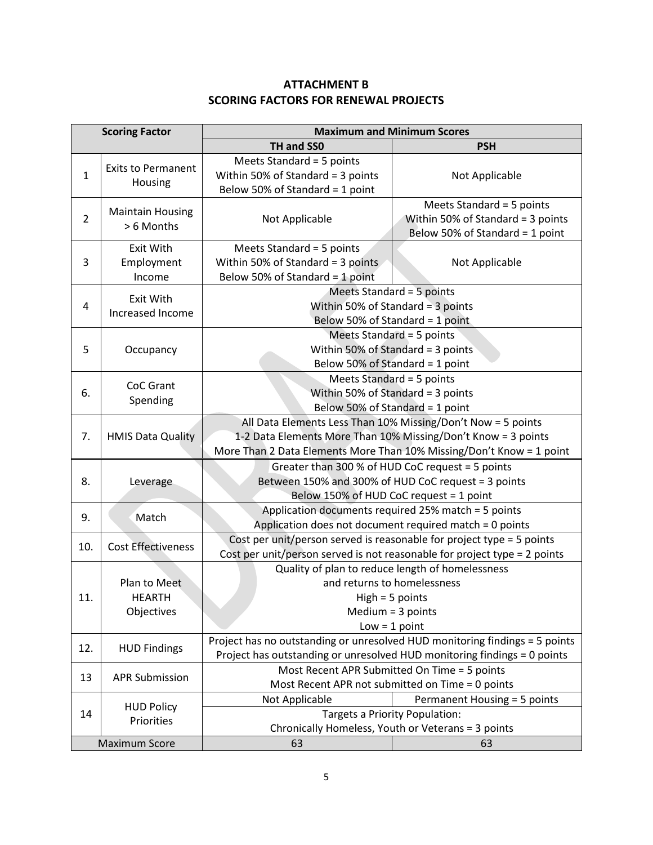# **ATTACHMENT B SCORING FACTORS FOR RENEWAL PROJECTS**

| <b>Scoring Factor</b> |                                             | <b>Maximum and Minimum Scores</b>                                                                                                                                                                     |                                                                                                   |  |  |  |  |
|-----------------------|---------------------------------------------|-------------------------------------------------------------------------------------------------------------------------------------------------------------------------------------------------------|---------------------------------------------------------------------------------------------------|--|--|--|--|
|                       |                                             | TH and SS0                                                                                                                                                                                            | <b>PSH</b>                                                                                        |  |  |  |  |
| $\mathbf{1}$          | <b>Exits to Permanent</b><br>Housing        | Meets Standard = 5 points<br>Within 50% of Standard = 3 points<br>Below 50% of Standard = 1 point                                                                                                     | Not Applicable                                                                                    |  |  |  |  |
| $\overline{2}$        | <b>Maintain Housing</b><br>> 6 Months       | Not Applicable                                                                                                                                                                                        | Meets Standard = 5 points<br>Within 50% of Standard = 3 points<br>Below 50% of Standard = 1 point |  |  |  |  |
| 3                     | <b>Exit With</b><br>Employment<br>Income    | Meets Standard = 5 points<br>Within 50% of Standard = 3 points<br>Below 50% of Standard = 1 point                                                                                                     | Not Applicable                                                                                    |  |  |  |  |
| 4                     | Exit With<br>Increased Income               | Meets Standard = 5 points<br>Within 50% of Standard = $3$ points<br>Below 50% of Standard = 1 point                                                                                                   |                                                                                                   |  |  |  |  |
| 5                     | Occupancy                                   | Meets Standard = 5 points<br>Within 50% of Standard = 3 points<br>Below 50% of Standard = 1 point                                                                                                     |                                                                                                   |  |  |  |  |
| 6.                    | <b>CoC Grant</b><br>Spending                | Meets Standard = 5 points<br>Within 50% of Standard = $3$ points<br>Below 50% of Standard = 1 point                                                                                                   |                                                                                                   |  |  |  |  |
| 7.                    | <b>HMIS Data Quality</b>                    | All Data Elements Less Than 10% Missing/Don't Now = 5 points<br>1-2 Data Elements More Than 10% Missing/Don't Know = 3 points<br>More Than 2 Data Elements More Than 10% Missing/Don't Know = 1 point |                                                                                                   |  |  |  |  |
| 8.                    | Leverage                                    | Greater than 300 % of HUD CoC request = 5 points<br>Between 150% and 300% of HUD CoC request = 3 points<br>Below 150% of HUD CoC request = 1 point                                                    |                                                                                                   |  |  |  |  |
| 9.                    | Match                                       | Application documents required 25% match = 5 points<br>Application does not document required match = 0 points                                                                                        |                                                                                                   |  |  |  |  |
| 10.                   | <b>Cost Effectiveness</b>                   | Cost per unit/person served is reasonable for project type = 5 points<br>Cost per unit/person served is not reasonable for project type = 2 points                                                    |                                                                                                   |  |  |  |  |
| 11                    | Plan to Meet<br><b>HEARTH</b><br>Objectives | Quality of plan to reduce length of homelessness<br>and returns to homelessness<br>$High = 5 points$<br>Medium $=$ 3 points<br>$Low = 1 point$                                                        |                                                                                                   |  |  |  |  |
| 12.                   | <b>HUD Findings</b>                         | Project has no outstanding or unresolved HUD monitoring findings = 5 points<br>Project has outstanding or unresolved HUD monitoring findings = 0 points                                               |                                                                                                   |  |  |  |  |
| 13                    | <b>APR Submission</b>                       | Most Recent APR Submitted On Time = 5 points<br>Most Recent APR not submitted on Time = 0 points                                                                                                      |                                                                                                   |  |  |  |  |
| 14                    | <b>HUD Policy</b><br>Priorities             | Not Applicable<br>Permanent Housing = 5 points<br>Targets a Priority Population:<br>Chronically Homeless, Youth or Veterans = 3 points                                                                |                                                                                                   |  |  |  |  |
| <b>Maximum Score</b>  |                                             | 63                                                                                                                                                                                                    | 63                                                                                                |  |  |  |  |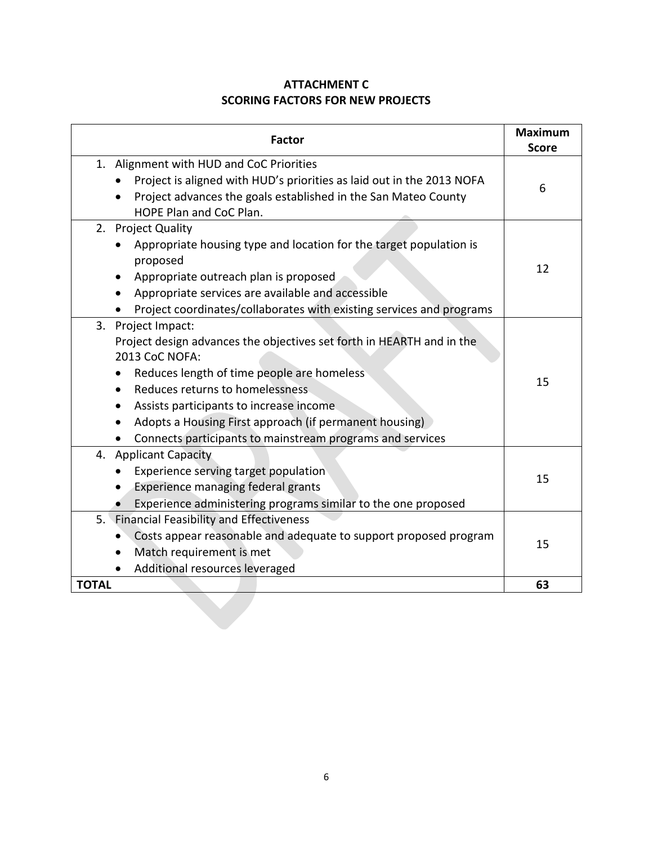# **ATTACHMENT C SCORING FACTORS FOR NEW PROJECTS**

| <b>Factor</b>                                                                                                                                                                                                                                                                                                                                                                                           | <b>Maximum</b><br><b>Score</b> |
|---------------------------------------------------------------------------------------------------------------------------------------------------------------------------------------------------------------------------------------------------------------------------------------------------------------------------------------------------------------------------------------------------------|--------------------------------|
| 1. Alignment with HUD and CoC Priorities<br>Project is aligned with HUD's priorities as laid out in the 2013 NOFA<br>Project advances the goals established in the San Mateo County<br>HOPE Plan and CoC Plan.                                                                                                                                                                                          | 6                              |
| 2. Project Quality<br>Appropriate housing type and location for the target population is<br>proposed<br>Appropriate outreach plan is proposed<br>Appropriate services are available and accessible<br>Project coordinates/collaborates with existing services and programs                                                                                                                              | 12                             |
| 3. Project Impact:<br>Project design advances the objectives set forth in HEARTH and in the<br>2013 CoC NOFA:<br>Reduces length of time people are homeless<br>Reduces returns to homelessness<br>$\bullet$<br>Assists participants to increase income<br>$\bullet$<br>Adopts a Housing First approach (if permanent housing)<br>$\bullet$<br>Connects participants to mainstream programs and services | 15                             |
| 4. Applicant Capacity<br>Experience serving target population<br>Experience managing federal grants<br>Experience administering programs similar to the one proposed                                                                                                                                                                                                                                    | 15                             |
| 5. Financial Feasibility and Effectiveness<br>Costs appear reasonable and adequate to support proposed program<br>Match requirement is met<br>Additional resources leveraged                                                                                                                                                                                                                            | 15                             |
| <b>TOTAL</b>                                                                                                                                                                                                                                                                                                                                                                                            | 63                             |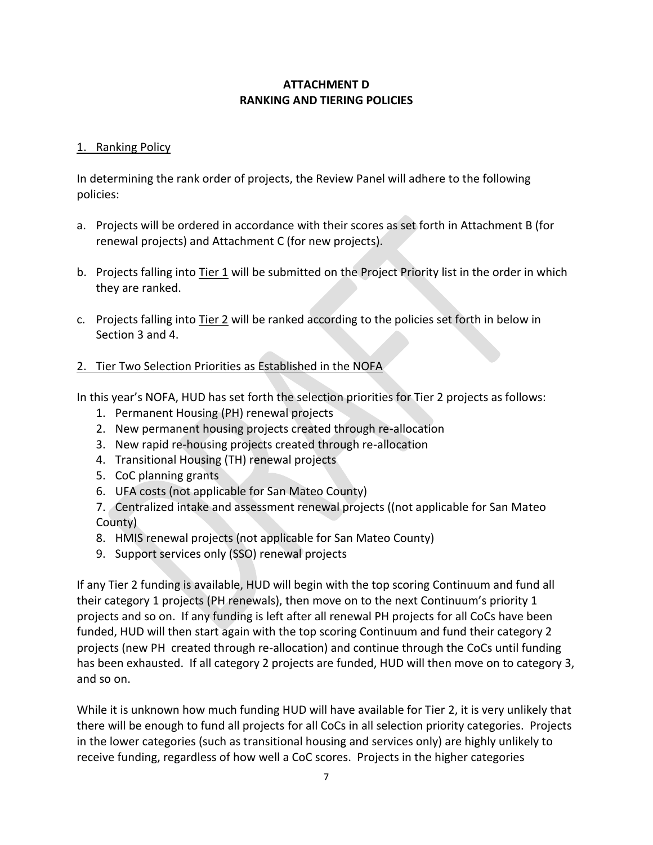# **ATTACHMENT D RANKING AND TIERING POLICIES**

#### 1. Ranking Policy

In determining the rank order of projects, the Review Panel will adhere to the following policies:

- a. Projects will be ordered in accordance with their scores as set forth in Attachment B (for renewal projects) and Attachment C (for new projects).
- b. Projects falling into Tier 1 will be submitted on the Project Priority list in the order in which they are ranked.
- c. Projects falling into Tier 2 will be ranked according to the policies set forth in below in Section 3 and 4.

# 2. Tier Two Selection Priorities as Established in the NOFA

In this year's NOFA, HUD has set forth the selection priorities for Tier 2 projects as follows:

- 1. Permanent Housing (PH) renewal projects
- 2. New permanent housing projects created through re-allocation
- 3. New rapid re-housing projects created through re-allocation
- 4. Transitional Housing (TH) renewal projects
- 5. CoC planning grants
- 6. UFA costs (not applicable for San Mateo County)
- 7. Centralized intake and assessment renewal projects ((not applicable for San Mateo County)
- 8. HMIS renewal projects (not applicable for San Mateo County)
- 9. Support services only (SSO) renewal projects

If any Tier 2 funding is available, HUD will begin with the top scoring Continuum and fund all their category 1 projects (PH renewals), then move on to the next Continuum's priority 1 projects and so on. If any funding is left after all renewal PH projects for all CoCs have been funded, HUD will then start again with the top scoring Continuum and fund their category 2 projects (new PH created through re-allocation) and continue through the CoCs until funding has been exhausted. If all category 2 projects are funded, HUD will then move on to category 3, and so on.

While it is unknown how much funding HUD will have available for Tier 2, it is very unlikely that there will be enough to fund all projects for all CoCs in all selection priority categories. Projects in the lower categories (such as transitional housing and services only) are highly unlikely to receive funding, regardless of how well a CoC scores. Projects in the higher categories